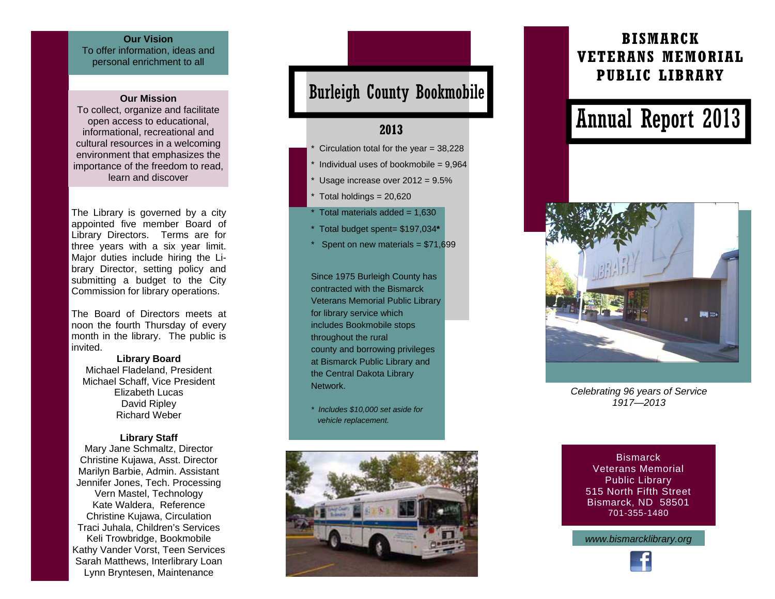### **Our Vision**

To offer information, ideas and personal enrichment to all

#### **Our Mission**

To collect, organize and facilitate open access to educational, informational, recreational and cultural resources in a welcoming environment that emphasizes the importance of the freedom to read, learn and discover

The Library is governed by a city appointed five member Board of Library Directors. Terms are for three years with a six year limit. Major duties include hiring the Library Director, setting policy and submitting a budget to the City Commission for library operations.

The Board of Directors meets at noon the fourth Thursday of every month in the library. The public is invited.

**Library Board**  Michael Fladeland, President Michael Schaff, Vice President Elizabeth Lucas David Ripley Richard Weber

#### **Library Staff**

Mary Jane Schmaltz, Director Christine Kujawa, Asst. Director Marilyn Barbie, Admin. Assistant Jennifer Jones, Tech. Processing Vern Mastel, Technology Kate Waldera, Reference Christine Kujawa, Circulation Traci Juhala, Children's Services Keli Trowbridge, Bookmobile Kathy Vander Vorst, Teen Services Sarah Matthews, Interlibrary Loan Lynn Bryntesen, Maintenance

## Burleigh County Bookmobile

### **2013**

- Circulation total for the year =  $38,228$
- Individual uses of bookmobile =  $9,964$
- Usage increase over  $2012 = 9.5\%$
- Total holdings  $= 20,620$
- Total materials added =  $1,630$
- \* Total budget spent= \$197,034**\***
- Spent on new materials =  $$71,699$

Since 1975 Burleigh County has contracted with the Bismarck Veterans Memorial Public Library for library service which includes Bookmobile stops throughout the rural county and borrowing privileges at Bismarck Public Library and the Central Dakota Library **Network** 

*\* Includes \$10,000 set aside for vehicle replacement.* 



## **BISMARCK VETERANS MEMORIAL PUBLIC LIBRARY**

# Annual Report 2013



*Celebrating 96 years of Service 1917—2013* 

**Bismarck** Veterans Memorial Public Library 515 North Fifth Street Bismarck, ND 58501 701-355-1480

*www.bismarcklibrary.org*